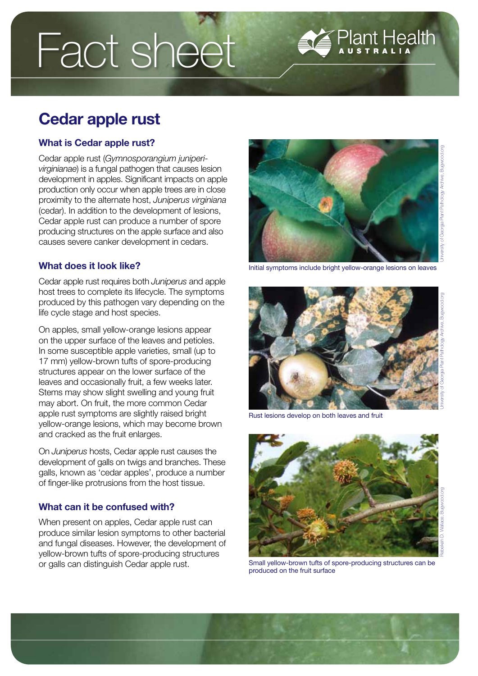# Fact sheet

# Cedar apple rust

# What is Cedar apple rust?

Cedar apple rust (*Gymnosporangium juniperivirginianae*) is a fungal pathogen that causes lesion development in apples. Significant impacts on apple production only occur when apple trees are in close proximity to the alternate host, *Juniperus virginiana*  (cedar). In addition to the development of lesions, Cedar apple rust can produce a number of spore producing structures on the apple surface and also causes severe canker development in cedars.

# What does it look like?

Cedar apple rust requires both *Juniperus* and apple host trees to complete its lifecycle. The symptoms produced by this pathogen vary depending on the life cycle stage and host species.

On apples, small yellow-orange lesions appear on the upper surface of the leaves and petioles. In some susceptible apple varieties, small (up to 17 mm) yellow-brown tufts of spore-producing structures appear on the lower surface of the leaves and occasionally fruit, a few weeks later. Stems may show slight swelling and young fruit may abort. On fruit, the more common Cedar apple rust symptoms are slightly raised bright yellow-orange lesions, which may become brown and cracked as the fruit enlarges.

On *Juniperus* hosts, Cedar apple rust causes the development of galls on twigs and branches. These galls, known as 'cedar apples', produce a number of finger-like protrusions from the host tissue.

# What can it be confused with?

When present on apples, Cedar apple rust can produce similar lesion symptoms to other bacterial and fungal diseases. However, the development of yellow-brown tufts of spore-producing structures or galls can distinguish Cedar apple rust.



Plant Health



Initial symptoms include bright yellow-orange lesions on leaves



Small yellow-brown tufts of spore-producing structures can be produced on the fruit surface